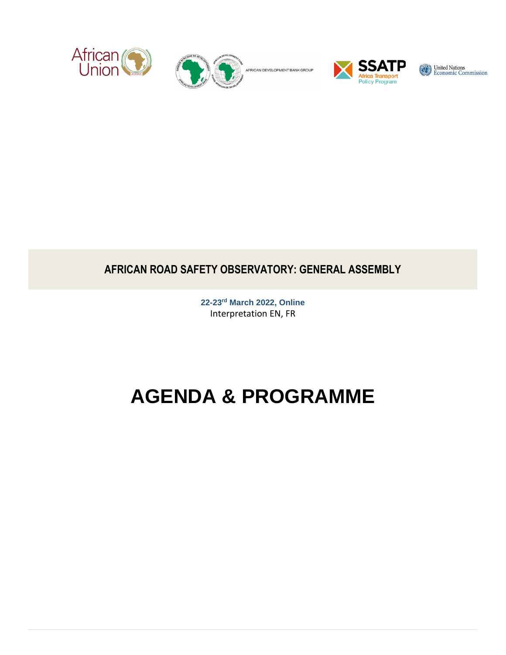



AFRICAN DEVELOPMENT BANK GROUP



United Nations<br>Economic Commission

# **AFRICAN ROAD SAFETY OBSERVATORY: GENERAL ASSEMBLY**

**22-23rd March 2022, Online** Interpretation EN, FR

# **AGENDA & PROGRAMME**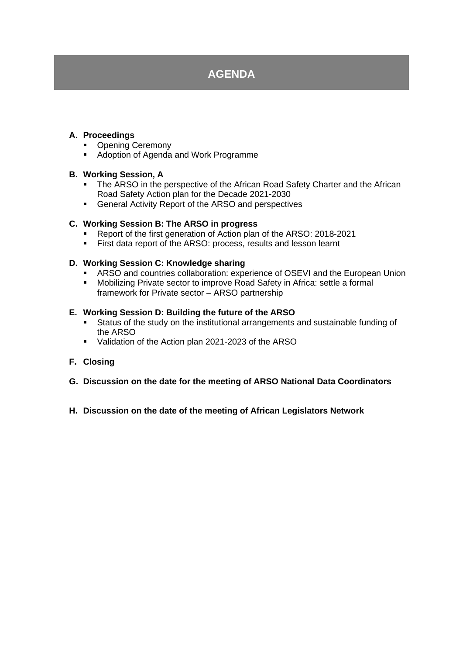# **AGENDA**

#### **A. Proceedings**

- Opening Ceremony
- Adoption of Agenda and Work Programme

#### **B. Working Session, A**

- **The ARSO in the perspective of the African Road Safety Charter and the African** Road Safety Action plan for the Decade 2021-2030
- General Activity Report of the ARSO and perspectives

#### **C. Working Session B: The ARSO in progress**

- Report of the first generation of Action plan of the ARSO: 2018-2021
- **EXECT:** First data report of the ARSO: process, results and lesson learnt

#### **D. Working Session C: Knowledge sharing**

- ARSO and countries collaboration: experience of OSEVI and the European Union
- Mobilizing Private sector to improve Road Safety in Africa: settle a formal framework for Private sector – ARSO partnership

#### **E. Working Session D: Building the future of the ARSO**

- **EXECT** Status of the study on the institutional arrangements and sustainable funding of the ARSO
- Validation of the Action plan 2021-2023 of the ARSO

#### **F. Closing**

- **G. Discussion on the date for the meeting of ARSO National Data Coordinators**
- **H. Discussion on the date of the meeting of African Legislators Network**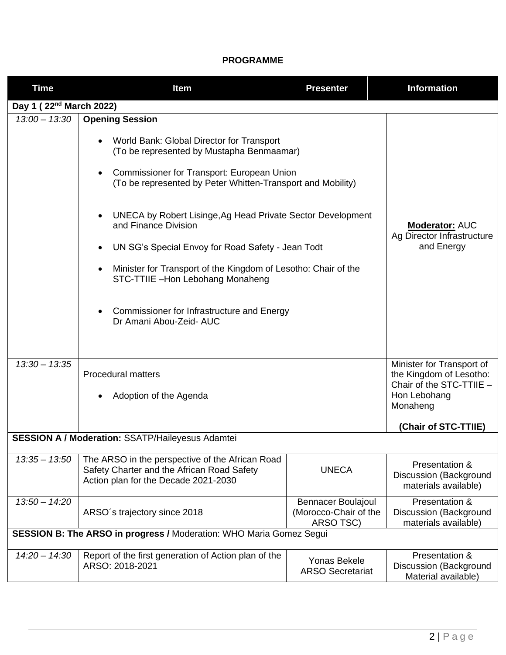### **PROGRAMME**

| <b>Time</b>                                                         | Item                                                                                                                                                                                                                                                                                                                                                                                                                                                                                                                                                     | <b>Presenter</b>                                                | <b>Information</b>                                                                                                                   |  |  |
|---------------------------------------------------------------------|----------------------------------------------------------------------------------------------------------------------------------------------------------------------------------------------------------------------------------------------------------------------------------------------------------------------------------------------------------------------------------------------------------------------------------------------------------------------------------------------------------------------------------------------------------|-----------------------------------------------------------------|--------------------------------------------------------------------------------------------------------------------------------------|--|--|
| Day 1 (22 <sup>nd</sup> March 2022)                                 |                                                                                                                                                                                                                                                                                                                                                                                                                                                                                                                                                          |                                                                 |                                                                                                                                      |  |  |
| $13:00 - 13:30$                                                     | <b>Opening Session</b><br>World Bank: Global Director for Transport<br>(To be represented by Mustapha Benmaamar)<br>Commissioner for Transport: European Union<br>(To be represented by Peter Whitten-Transport and Mobility)<br>UNECA by Robert Lisinge, Ag Head Private Sector Development<br>and Finance Division<br>UN SG's Special Envoy for Road Safety - Jean Todt<br>Minister for Transport of the Kingdom of Lesotho: Chair of the<br>STC-TTIIE -Hon Lebohang Monaheng<br>Commissioner for Infrastructure and Energy<br>Dr Amani Abou-Zeid- AUC |                                                                 | <b>Moderator: AUC</b><br>Ag Director Infrastructure<br>and Energy                                                                    |  |  |
| $13:30 - 13:35$                                                     | <b>Procedural matters</b><br>Adoption of the Agenda                                                                                                                                                                                                                                                                                                                                                                                                                                                                                                      |                                                                 | Minister for Transport of<br>the Kingdom of Lesotho:<br>Chair of the STC-TTIIE -<br>Hon Lebohang<br>Monaheng<br>(Chair of STC-TTIIE) |  |  |
| <b>SESSION A / Moderation: SSATP/Haileyesus Adamtei</b>             |                                                                                                                                                                                                                                                                                                                                                                                                                                                                                                                                                          |                                                                 |                                                                                                                                      |  |  |
| $13:35 - 13:50$                                                     | The ARSO in the perspective of the African Road<br>Safety Charter and the African Road Safety<br>Action plan for the Decade 2021-2030                                                                                                                                                                                                                                                                                                                                                                                                                    | <b>UNECA</b>                                                    | Presentation &<br><b>Discussion (Background</b><br>materials available)                                                              |  |  |
| $13:50 - 14:20$                                                     | ARSO's trajectory since 2018                                                                                                                                                                                                                                                                                                                                                                                                                                                                                                                             | <b>Bennacer Boulajoul</b><br>(Morocco-Chair of the<br>ARSO TSC) | Presentation &<br>Discussion (Background<br>materials available)                                                                     |  |  |
| SESSION B: The ARSO in progress / Moderation: WHO Maria Gomez Segui |                                                                                                                                                                                                                                                                                                                                                                                                                                                                                                                                                          |                                                                 |                                                                                                                                      |  |  |
| $14:20 - 14:30$                                                     | Report of the first generation of Action plan of the<br>ARSO: 2018-2021                                                                                                                                                                                                                                                                                                                                                                                                                                                                                  | Yonas Bekele<br><b>ARSO Secretariat</b>                         | Presentation &<br>Discussion (Background<br>Material available)                                                                      |  |  |